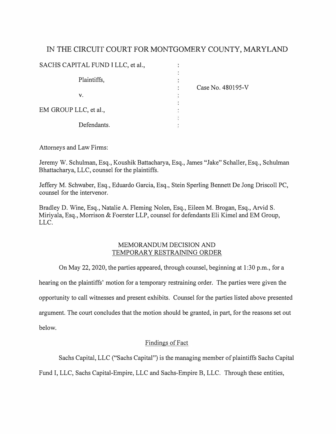## IN THE CIRCUIT COURT FOR MONTGOMERY COUNTY, MARYLAND

| SACHS CAPITAL FUND I LLC, et al., |                   |
|-----------------------------------|-------------------|
| Plaintiffs,                       |                   |
|                                   |                   |
|                                   | Case No. 480195-V |
| V.                                |                   |
|                                   |                   |
| EM GROUP LLC, et al.,             |                   |
|                                   |                   |
| Defendants.                       |                   |

Attorneys and Law Firms:

Jeremy W. Schulman, Esq., Koushik Battacharya, Esq., James "Jake" Schaller, Esq., Schulman Bhattacharya, LLC, counsel for the plaintiffs.

Jeffery M. Schwaber, Esq., Eduardo Garcia, Esq., Stein Sperling Bennett De Jong Driscoll PC, counsel for the intervenor.

Bradley D. Wine, Esq., Natalie A. Fleming Nolen, Esq., Eileen M. Brogan, Esq., Arvid S. Miriyala, Esq., Morrison & Foerster LLP, counsel for defendants Eli Kimel and EM Group, LLC.

## MEMORANDUM DECISION AND TEMPORARY RESTRAINING ORDER

On May 22, 2020, the parties appeared, through counsel, beginning at 1 :30 p.m., for a

hearing on the plaintiffs' motion for a temporary restraining order. The parties were given the

opportunity to call witnesses and present exhibits. Counsel for the parties listed above presented

argument. The court concludes that the motion should be granted, in part, for the reasons set out

below.

## Findings of Fact

Sachs Capital, LLC ("Sachs Capital") is the managing member of plaintiffs Sachs Capital

Fund I, LLC, Sachs Capital-Empire, LLC and Sachs-Empire B, LLC. Through these entities,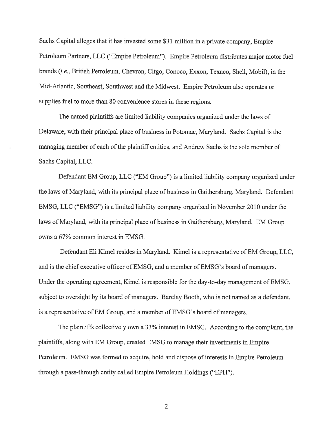Sachs Capital alleges that it has invested some \$31 million in a private company, Empire Petroleum Partners, LLC ("Empire Petroleum"). Empire Petroleum distributes major motor fuel brands (i.e., British Petroleum, Chevron, Citgo, Conoco, Exxon, Texaco, Shell, Mobil), in the Mid-Atlantic, Southeast, Southwest and the Midwest. Empire Petroleum also operates or supplies fuel to more than 80 convenience stores in these regions.

The named plaintiffs are limited liability companies organized under the laws of Delaware, with their principal place of business in Potomac, Maryland. Sachs Capital is the managing member of each of the plaintiff entities, and Andrew Sachs is the sole member of Sachs Capital, LLC.

Defendant EM Group, LLC ("EM Group") is a limited liability company organized under the laws of Maryland, with its principal place of business in Gaithersburg, Maryland. Defendant EMSG, LLC ("EMSG") is a limited liability company organized in November 2010 under the laws of Maryland, with its principal place of business in Gaithersburg, Maryland. EM Group owns a 67% common interest in EMSG.

Defendant Eli Kimel resides in Maryland. Kimel is a representative of EM Group, LLC, and is the chief executive officer of EMSG, and a member of EMSG's board of managers. Under the operating agreement, Kimel is responsible for the day-to-day management of EMSG, subject to oversight by its board of managers. Barclay Booth, who is not named as a defendant, is a representative of EM Group, and a member of EMSG's board of managers.

The plaintiffs collectively own a 33% interest in EMSG. According to the complaint, the plaintiffs, along with EM Group, created EMSG to manage their investments in Empire Petroleum. EMSG was formed to acquire, hold and dispose of interests in Empire Petroleum through a pass-through entity called Empire Petroleum Holdings ("EPH").

 $\overline{2}$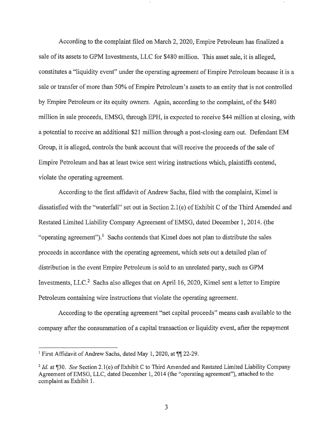According to the complaint filed on March 2, 2020, Empire Petroleum has finalized a sale of its assets to GPM Investments, LLC for \$480 million. This asset sale, it is alleged, constitutes a "liquidity event" under the operating agreement of Empire Petroleum because it is a sale or transfer of more than 50% of Empire Petroleum's assets to an entity that is not controlled by Empire Petroleum or its equity owners. Again, according to the complaint, of the \$480 million in sale proceeds, EMSG, through EPH, is expected to receive \$44 million at closing, with a potential to receive an additional \$21 million through a post-closing earn out. Defendant EM Group, it is alleged, controls the bank account that will receive the proceeds of the sale of Empire Petroleum and has at least twice sent wiring instructions which, plaintiffs contend, violate the operating agreement.

According to the first affidavit of Andrew Sachs, filed with the complaint, Kimel is dissatisfied with the "waterfall" set out in Section 2.1(e) of Exhibit C of the Third Amended and Restated Limited Liability Company Agreement of EMSG, dated December 1, 2014. (the "operating agreement").<sup>1</sup> Sachs contends that Kimel does not plan to distribute the sales proceeds in accordance with the operating agreement, which sets out a detailed plan of distribution in the event Empire Petroleum is sold to an unrelated party, such as GPM Investments, LLC.<sup>2</sup> Sachs also alleges that on April 16, 2020, Kimel sent a letter to Empire Petroleum containing wire instructions that violate the operating agreement.

According to the operating agreement "net capital proceeds" means cash available to the company after the consummation of a capital transaction or liquidity event, after the repayment

<sup>&</sup>lt;sup>1</sup> First Affidavit of Andrew Sachs, dated May 1, 2020, at ¶ 22-29.

<sup>&</sup>lt;sup>2</sup> Id. at ¶30. See Section 2.1(e) of Exhibit C to Third Amended and Restated Limited Liability Company Agreement of EMSG, LLC, dated December 1, 2014 (the "operating agreement"), attached to the complaint as Exhibit 1.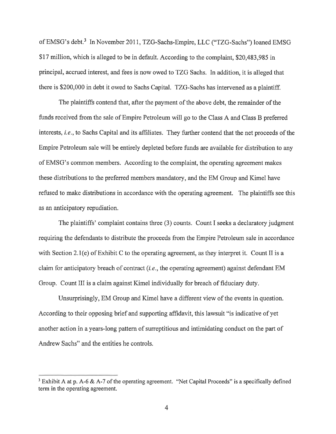of EMSG's debt.<sup>3</sup> In November 2011, TZG-Sachs-Empire, LLC ("TZG-Sachs") loaned EMSG \$17 million, which is alleged to be in default. According to the complaint, \$20,483,985 in principal, accrued interest, and fees is now owed to TZG Sachs. In addition, it is alleged that there is \$200,000 in debt it owed to Sachs Capital. TZG-Sachs has intervened as a plaintiff.

The plaintiffs contend that, after the payment of the above debt, the remainder of the funds received from the sale of Empire Petroleum will go to the Class A and Class B preferred interests, i.e., to Sachs Capital and its affiliates. They further contend that the net proceeds of the Empire Petroleum sale will be entirely depleted before funds are available for distribution to any of EMSG's common members. According to the complaint, the operating agreement makes these distributions to the preferred members mandatory, and the EM Group and Kimel have refused to make distributions in accordance with the operating agreement. The plaintiffs see this as an anticipatory repudiation.

The plaintiffs' complaint contains three (3) counts. Count I seeks a declaratory judgment requiring the defendants to distribute the proceeds from the Empire Petroleum sale in accordance with Section 2.1(e) of Exhibit C to the operating agreement, as they interpret it. Count II is a claim for anticipatory breach of contract  $(i.e.,$  the operating agreement) against defendant EM Group. Count III is a claim against Kimel individually for breach of fiduciary duty.

Unsurprisingly, EM Group and Kimel have a different view of the events in question. According to their opposing brief and supporting affidavit, this lawsuit "is indicative of yet another action in a years-long pattern of surreptitious and intimidating conduct on the part of Andrew Sachs" and the entities he controls.

<sup>&</sup>lt;sup>3</sup> Exhibit A at p. A-6 & A-7 of the operating agreement. "Net Capital Proceeds" is a specifically defined term in the operating agreement.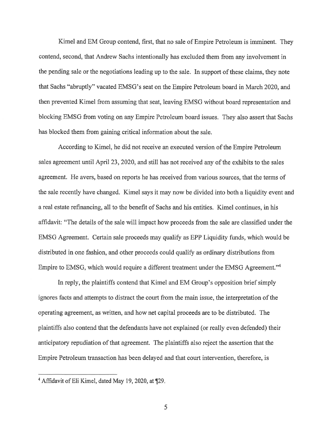Kimel and EM Group contend, first, that no sale of Empire Petroleum is imminent. They contend, second, that Andrew Sachs intentionally has excluded them from any involvement in the pending sale or the negotiations leading up to the sale. In support of these claims, they note that Sachs "abruptly" vacated EMSG's seat on the Empire Petroleum board in March 2020, and then prevented Kimel from assuming that seat, leaving EMSG without board representation and blocking EMSG from voting on any Empire Petroleum board issues. They also assert that Sachs has blocked them from gaining critical information about the sale.

According to Kimel, he did not receive an executed version of the Empire Petroleum sales agreement until April 23, 2020, and still has not received any of the exhibits to the sales agreement. He avers, based on reports he has received from various sources, that the terms of the sale recently have changed. Kimel says it may now be divided into both a liquidity event and a real estate refinancing, all to the benefit of Sachs and his entities. Kimel continues, in his affidavit: "The details of the sale will impact how proceeds from the sale are classified under the EMSG Agreement. Certain sale proceeds may qualify as EPP Liquidity funds, which would be distributed in one fashion, and other proceeds could qualify as ordinary distributions from Empire to EMSG, which would require a different treatment under the EMSG Agreement."<sup>4</sup>

In reply, the plaintiffs contend that Kimel and EM Group's opposition brief simply ignores facts and attempts to distract the court from the main issue, the interpretation of the operating agreement, as written, and how net capital proceeds are to be distributed. The plaintiffs also contend that the defendants have not explained (or really even defended) their anticipatory repudiation of that agreement. The plaintiffs also reject the assertion that the Empire Petroleum transaction has been delayed and that court intervention, therefore, is

<sup>&</sup>lt;sup>4</sup> Affidavit of Eli Kimel, dated May 19, 2020, at ¶29.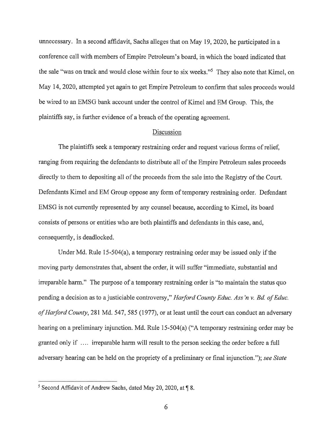unnecessary. In a second affidavit, Sachs alleges that on May 19, 2020, he participated in a conference call with members of Empire Petroleum's board, in which the board indicated that the sale "was on track and would close within four to six weeks."<sup>5</sup> They also note that Kimel, on May 14, 2020, attempted yet again to get Empire Petroleum to confirm that sales proceeds would be wired to an EMSG bank account under the control of Kimel and EM Group. This, the plaintiffs say, is further evidence of a breach of the operating agreement.

## Discussion

The plaintiffs seek a temporary restraining order and request various forms of relief, ranging from requiring the defendants to distribute all of the Empire Petroleum sales proceeds directly to them to depositing all of the proceeds from the sale into the Registry of the Court. Defendants Kimel and EM Group oppose any form of temporary restraining order. Defendant EMSG is not currently represented by any counsel because, according to Kimel, its board consists of persons or entities who are both plaintiffs and defendants in this case, and, consequently, is deadlocked.

Under Md. Rule  $15-504(a)$ , a temporary restraining order may be issued only if the moving party demonstrates that, absent the order, it will suffer "immediate, substantial and irreparable harm." The purpose of a temporary restraining order is "to maintain the status quo pending a decision as to a justiciable controversy," Harford County Educ. Ass'n v. Bd. of Educ. of Harford County, 281 Md. 547, 585 (1977), or at least until the court can conduct an adversary hearing on a preliminary injunction. Md. Rule 15-504(a) ("A temporary restraining order may be granted only if .... irreparable harm will result to the person seeking the order before a full adversary hearing can be held on the propriety of a preliminary or final injunction."); see State

<sup>&</sup>lt;sup>5</sup> Second Affidavit of Andrew Sachs, dated May 20, 2020, at ¶ 8.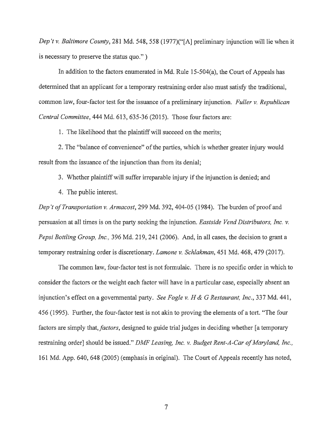Dep't v. Baltimore County, 281 Md. 548, 558 (1977)("[A] preliminary injunction will lie when it is necessary to preserve the status quo.")

In addition to the factors enumerated in Md. Rule  $15-504(a)$ , the Court of Appeals has determined that an applicant for a temporary restraining order also must satisfy the traditional, common law, four-factor test for the issuance of a preliminary injunction. Fuller v. Republican Central Committee, 444 Md. 613, 635-36 (2015). Those four factors are:

1. The likelihood that the plaintiff will succeed on the merits;

2. The "balance of convenience" of the parties, which is whether greater injury would result from the issuance of the injunction than from its denial;

3. Whether plaintiff will suffer irreparable injury if the injunction is denied; and

4. The public interest.

Dep't of Transportation v. Armacost, 299 Md. 392, 404-05 (1984). The burden of proof and persuasion at all times is on the party seeking the injunction. Eastside Vend Distributors, Inc. v. Pepsi Bottling Group, Inc., 396 Md. 219, 241 (2006). And, in all cases, the decision to grant a temporary restraining order is discretionary. Lamone v. Schlakman, 451 Md. 468, 479 (2017).

The common law, four-factor test is not formulaic. There is no specific order in which to consider the factors or the weight each factor will have in a particular case, especially absent an injunction's effect on a governmental party. See Fogle v. H & G Restaurant, Inc., 337 Md. 441, 456 (1995). Further, the four-factor test is not akin to proving the elements of a tort. "The four factors are simply that, *factors*, designed to guide trial judges in deciding whether [a temporary restraining order] should be issued." DMF Leasing, Inc. v. Budget Rent-A-Car of Maryland, Inc., 161 Md. App. 640, 648 (2005) (emphasis in original). The Court of Appeals recently has noted,

 $\overline{7}$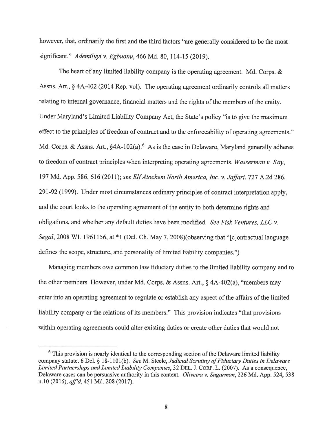however, that, ordinarily the first and the third factors "are generally considered to be the most significant." Ademiluyi v. Egbuonu, 466 Md. 80, 114-15 (2019).

The heart of any limited liability company is the operating agreement. Md. Corps.  $\&$ Assns. Art., § 4A-402 (2014 Rep. vol). The operating agreement ordinarily controls all matters relating to internal governance, financial matters and the rights of the members of the entity. Under Maryland's Limited Liability Company Act, the State's policy "is to give the maximum effect to the principles of freedom of contract and to the enforceability of operating agreements." Md. Corps. & Assns. Art., §4A-102(a).<sup>6</sup> As is the case in Delaware, Maryland generally adheres to freedom of contract principles when interpreting operating agreements. Wasserman v. Kay, 197 Md. App. 586, 616 (2011); see Elf Atochem North America, Inc. v. Jaffari, 727 A.2d 286, 291-92 (1999). Under most circumstances ordinary principles of contract interpretation apply, and the court looks to the operating agreement of the entity to both determine rights and obligations, and whether any default duties have been modified. See Fisk Ventures, LLC v. Segal, 2008 WL 1961156, at \*1 (Del. Ch. May 7, 2008) (observing that "[c] ontractual language defines the scope, structure, and personality of limited liability companies.")

Managing members owe common law fiduciary duties to the limited liability company and to the other members. However, under Md. Corps. & Assns. Art.,  $\S$  4A-402(a), "members may enter into an operating agreement to regulate or establish any aspect of the affairs of the limited liability company or the relations of its members." This provision indicates "that provisions" within operating agreements could alter existing duties or create other duties that would not

<sup>&</sup>lt;sup>6</sup> This provision is nearly identical to the corresponding section of the Delaware limited liability company statute. 6 Del. § 18-1101(b). See M. Steele, Judicial Scrutiny of Fiduciary Duties in Delaware Limited Partnerships and Limited Liability Companies, 32 DEL. J. CORP. L. (2007). As a consequence, Delaware cases can be persuasive authority in this context. *Oliveira v. Sugarman*, 226 Md. App. 524, 538 n.10 (2016), aff'd, 451 Md. 208 (2017).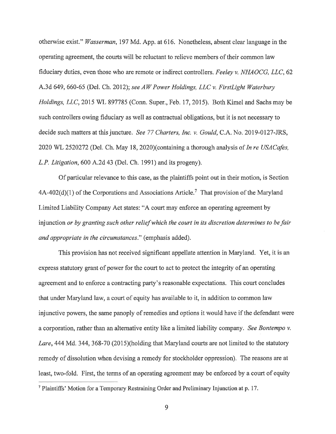otherwise exist." Wasserman, 197 Md. App. at 616. Nonetheless, absent clear language in the operating agreement, the courts will be reluctant to relieve members of their common law fiduciary duties, even those who are remote or indirect controllers. Feeley v. NHAOCG, LLC, 62 A.3d 649, 660-65 (Del. Ch. 2012); see AW Power Holdings, LLC v. FirstLight Waterbury Holdings, LLC, 2015 WL 897785 (Conn. Super., Feb. 17, 2015). Both Kimel and Sachs may be such controllers owing fiduciary as well as contractual obligations, but it is not necessary to decide such matters at this juncture. See 77 Charters, Inc. v. Gould, C.A. No. 2019-0127-JRS, 2020 WL 2520272 (Del. Ch. May 18, 2020)(containing a thorough analysis of In re USACafes, L.P. Litigation, 600 A.2d 43 (Del. Ch. 1991) and its progeny).

Of particular relevance to this case, as the plaintiffs point out in their motion, is Section 4A-402(d)(1) of the Corporations and Associations Article.<sup>7</sup> That provision of the Maryland Limited Liability Company Act states: "A court may enforce an operating agreement by injunction or by granting such other relief which the court in its discretion determines to be fair and appropriate in the circumstances." (emphasis added).

This provision has not received significant appellate attention in Maryland. Yet, it is an express statutory grant of power for the court to act to protect the integrity of an operating agreement and to enforce a contracting party's reasonable expectations. This court concludes that under Maryland law, a court of equity has available to it, in addition to common law injunctive powers, the same panoply of remedies and options it would have if the defendant were a corporation, rather than an alternative entity like a limited liability company. See Bontempo v. Lare, 444 Md. 344, 368-70 (2015)(holding that Maryland courts are not limited to the statutory remedy of dissolution when devising a remedy for stockholder oppression). The reasons are at least, two-fold. First, the terms of an operating agreement may be enforced by a court of equity

<sup>&</sup>lt;sup>7</sup> Plaintiffs' Motion for a Temporary Restraining Order and Preliminary Injunction at p. 17.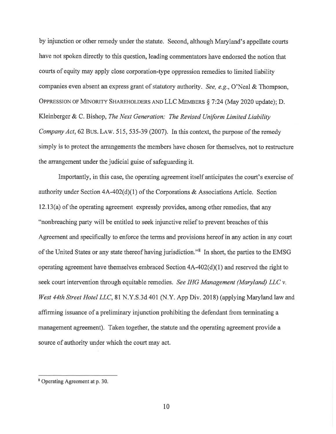by injunction or other remedy under the statute. Second, although Maryland's appellate courts have not spoken directly to this question, leading commentators have endorsed the notion that courts of equity may apply close corporation-type oppression remedies to limited liability companies even absent an express grant of statutory authority. See, e.g., O'Neal & Thompson, OPPRESSION OF MINORITY SHAREHOLDERS AND LLC MEMBERS § 7:24 (May 2020 update); D. Kleinberger & C. Bishop, The Next Generation: The Revised Uniform Limited Liability Company Act, 62 BUS, LAW, 515, 535-39 (2007). In this context, the purpose of the remedy simply is to protect the arrangements the members have chosen for themselves, not to restructure the arrangement under the judicial guise of safeguarding it.

Importantly, in this case, the operating agreement itself anticipates the court's exercise of authority under Section  $4A-402(d)(1)$  of the Corporations & Associations Article. Section 12.13(a) of the operating agreement expressly provides, among other remedies, that any "nonbreaching party will be entitled to seek injunctive relief to prevent breaches of this Agreement and specifically to enforce the terms and provisions hereof in any action in any court of the United States or any state thereof having jurisdiction."<sup>8</sup> In short, the parties to the EMSG operating agreement have themselves embraced Section  $4A-402(d)(1)$  and reserved the right to seek court intervention through equitable remedies. See IHG Management (Maryland) LLC v. West 44th Street Hotel LLC, 81 N.Y.S.3d 401 (N.Y. App Div. 2018) (applying Maryland law and affirming issuance of a preliminary injunction prohibiting the defendant from terminating a management agreement). Taken together, the statute and the operating agreement provide a source of authority under which the court may act.

<sup>&</sup>lt;sup>8</sup> Operating Agreement at p. 30.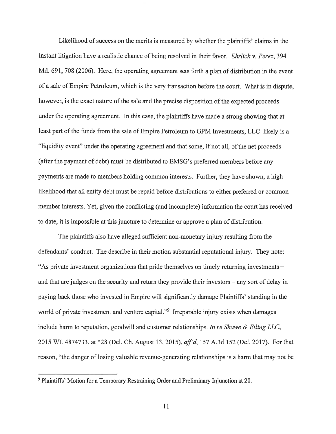Likelihood of success on the merits is measured by whether the plaintiffs' claims in the instant litigation have a realistic chance of being resolved in their favor. Ehrlich v. Perez, 394 Md. 691, 708 (2006). Here, the operating agreement sets forth a plan of distribution in the event of a sale of Empire Petroleum, which is the very transaction before the court. What is in dispute, however, is the exact nature of the sale and the precise disposition of the expected proceeds under the operating agreement. In this case, the plaintiffs have made a strong showing that at least part of the funds from the sale of Empire Petroleum to GPM Investments, LLC likely is a "liquidity event" under the operating agreement and that some, if not all, of the net proceeds (after the payment of debt) must be distributed to EMSG's preferred members before any payments are made to members holding common interests. Further, they have shown, a high likelihood that all entity debt must be repaid before distributions to either preferred or common member interests. Yet, given the conflicting (and incomplete) information the court has received to date, it is impossible at this juncture to determine or approve a plan of distribution.

The plaintiffs also have alleged sufficient non-monetary injury resulting from the defendants' conduct. The describe in their motion substantial reputational injury. They note: "As private investment organizations that pride themselves on timely returning investments – and that are judges on the security and return they provide their investors – any sort of delay in paying back those who invested in Empire will significantly damage Plaintiffs' standing in the world of private investment and venture capital."<sup>9</sup> Irreparable injury exists when damages include harm to reputation, goodwill and customer relationships. In re Shawe & Etling LLC, 2015 WL 4874733, at \*28 (Del. Ch. August 13, 2015), aff'd, 157 A.3d 152 (Del. 2017). For that reason, "the danger of losing valuable revenue-generating relationships is a harm that may not be

<sup>&</sup>lt;sup>9</sup> Plaintiffs' Motion for a Temporary Restraining Order and Preliminary Injunction at 20.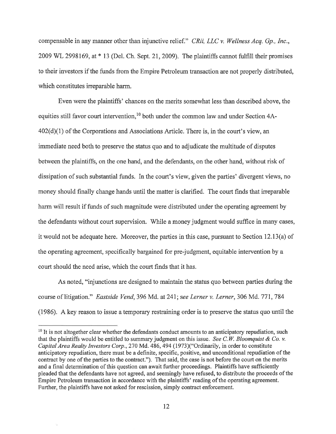compensable in any manner other than injunctive relief." CRii, LLC v. Wellness Acq. Gp., Inc., 2009 WL 2998169, at \* 13 (Del. Ch. Sept. 21, 2009). The plaintiffs cannot fulfill their promises to their investors if the funds from the Empire Petroleum transaction are not properly distributed, which constitutes irreparable harm.

Even were the plaintiffs' chances on the merits somewhat less than described above, the equities still favor court intervention,<sup>10</sup> both under the common law and under Section 4A- $402(d)(1)$  of the Corporations and Associations Article. There is, in the court's view, an immediate need both to preserve the status quo and to adjudicate the multitude of disputes between the plaintiffs, on the one hand, and the defendants, on the other hand, without risk of dissipation of such substantial funds. In the court's view, given the parties' divergent views, no money should finally change hands until the matter is clarified. The court finds that irreparable harm will result if funds of such magnitude were distributed under the operating agreement by the defendants without court supervision. While a money judgment would suffice in many cases, it would not be adequate here. Moreover, the parties in this case, pursuant to Section 12.13(a) of the operating agreement, specifically bargained for pre-judgment, equitable intervention by a court should the need arise, which the court finds that it has.

As noted, "injunctions are designed to maintain the status quo between parties during the course of litigation." *Eastside Vend*, 396 Md. at 241; see Lerner v. Lerner, 306 Md. 771, 784 (1986). A key reason to issue a temporary restraining order is to preserve the status quo until the

<sup>&</sup>lt;sup>10</sup> It is not altogether clear whether the defendants conduct amounts to an anticipatory repudiation, such that the plaintiffs would be entitled to summary judgment on this issue. See C.W. Bloomquist & Co. v. Capital Area Realty Investors Corp., 270 Md. 486, 494 (1973)("Ordinarily, in order to constitute anticipatory repudiation, there must be a definite, specific, positive, and unconditional repudiation of the contract by one of the parties to the contract."). That said, the case is not before the court on the merits and a final determination of this question can await further proceedings. Plaintiffs have sufficiently pleaded that the defendants have not agreed, and seemingly have refused, to distribute the proceeds of the Empire Petroleum transaction in accordance with the plaintiffs' reading of the operating agreement. Further, the plaintiffs have not asked for rescission, simply contract enforcement.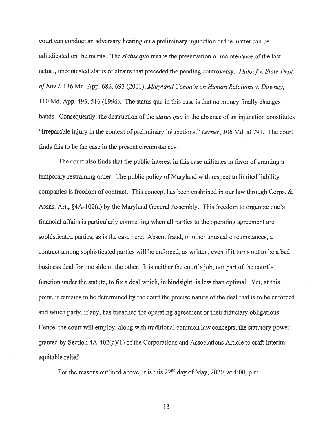court can conduct an adversary hearing on a preliminary injunction or the matter can be adjudicated on the merits. The *status quo* means the preservation or maintenance of the last actual, uncontested status of affairs that preceded the pending controversy. Maloof v. State Dept. of Env't, 136 Md. App. 682, 693 (2001); Maryland Comm'n on Human Relations v. Downey, 110 Md. App. 493, 516 (1996). The status quo in this case is that no money finally changes hands. Consequently, the destruction of the *status quo* in the absence of an injunction constitutes "irreparable injury in the context of preliminary injunctions." Lerner, 306 Md. at 791. The court finds this to be the case in the present circumstances.

The court also finds that the public interest in this case militates in favor of granting a temporary restraining order. The public policy of Maryland with respect to limited liability companies is freedom of contract. This concept has been enshrined in our law through Corps.  $\&$ Assns. Art., §4A-102(a) by the Maryland General Assembly. This freedom to organize one's financial affairs is particularly compelling when all parties to the operating agreement are sophisticated parties, as is the case here. Absent fraud, or other unusual circumstances, a contract among sophisticated parties will be enforced, as written, even if it turns out to be a bad business deal for one side or the other. It is neither the court's job, nor part of the court's function under the statute, to fix a deal which, in hindsight, is less than optimal. Yet, at this point, it remains to be determined by the court the precise nature of the deal that is to be enforced and which party, if any, has breached the operating agreement or their fiduciary obligations. Hence, the court will employ, along with traditional common law concepts, the statutory power granted by Section  $4A-402(d)(1)$  of the Corporations and Associations Article to craft interim equitable relief.

For the reasons outlined above, it is this  $22<sup>nd</sup>$  day of May, 2020, at 4:00, p.m.

13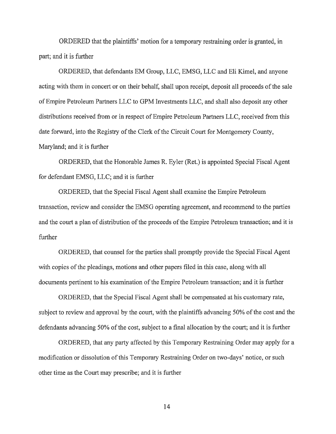ORDERED that the plaintiffs' motion for a temporary restraining order is granted, in part; and it is further

ORDERED, that defendants EM Group, LLC, EMSG, LLC and Eli Kimel, and anyone acting with them in concert or on their behalf, shall upon receipt, deposit all proceeds of the sale of Empire Petroleum Partners LLC to GPM Investments LLC, and shall also deposit any other distributions received from or in respect of Empire Petroleum Partners LLC, received from this date forward, into the Registry of the Clerk of the Circuit Court for Montgomery County, Maryland; and it is further

ORDERED, that the Honorable James R. Eyler (Ret.) is appointed Special Fiscal Agent for defendant EMSG, LLC; and it is further

ORDERED, that the Special Fiscal Agent shall examine the Empire Petroleum transaction, review and consider the EMSG operating agreement, and recommend to the parties and the court a plan of distribution of the proceeds of the Empire Petroleum transaction; and it is further

ORDERED, that counsel for the parties shall promptly provide the Special Fiscal Agent with copies of the pleadings, motions and other papers filed in this case, along with all documents pertinent to his examination of the Empire Petroleum transaction; and it is further

ORDERED, that the Special Fiscal Agent shall be compensated at his customary rate, subject to review and approval by the court, with the plaintiffs advancing 50% of the cost and the defendants advancing 50% of the cost, subject to a final allocation by the court; and it is further

ORDERED, that any party affected by this Temporary Restraining Order may apply for a modification or dissolution of this Temporary Restraining Order on two-days' notice, or such other time as the Court may prescribe; and it is further

14